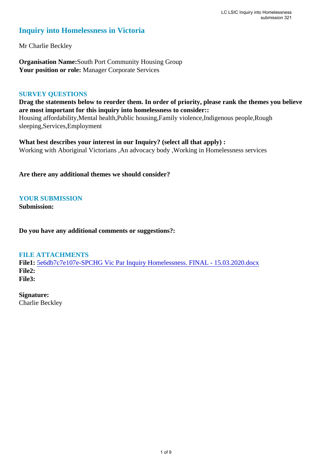## **Inquiry into Homelessness in Victoria**

Mr Charlie Beckley

**Organisation Name:**South Port Community Housing Group **Your position or role:** Manager Corporate Services

### **SURVEY QUESTIONS**

**Drag the statements below to reorder them. In order of priority, please rank the themes you believe are most important for this inquiry into homelessness to consider::**  Housing affordability,Mental health,Public housing,Family violence,Indigenous people,Rough sleeping,Services,Employment

**What best describes your interest in our Inquiry? (select all that apply) :**  Working with Aboriginal Victorians ,An advocacy body ,Working in Homelessness services

**Are there any additional themes we should consider?**

## **YOUR SUBMISSION**

**Submission:** 

**Do you have any additional comments or suggestions?:** 

### **FILE ATTACHMENTS**

**File1:** 5e6db7c7e107e-SPCHG Vic Par Inquiry Homelessness. FINAL - 15.03.2020.docx **File2: File3:** 

**Signature:** Charlie Beckley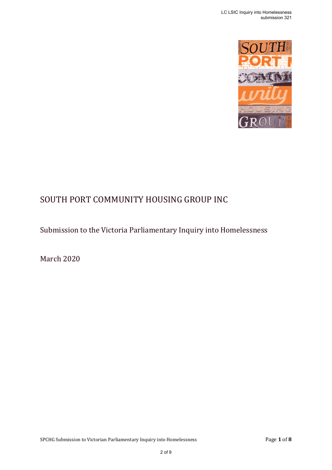

# SOUTH PORT COMMUNITY HOUSING GROUP INC

Submission to the Victoria Parliamentary Inquiry into Homelessness

March 2020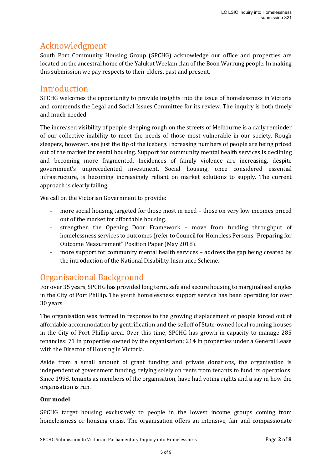## Acknowledgment

South Port Community Housing Group (SPCHG) acknowledge our office and properties are located on the ancestral home of the Yalukut Weelam clan of the Boon Warrung people. In making this submission we pay respects to their elders, past and present.

Introduction<br>SPCHG welcomes the opportunity to provide insights into the issue of homelessness in Victoria and commends the Legal and Social Issues Committee for its review. The inquiry is both timely and much needed.

The increased visibility of people sleeping rough on the streets of Melbourne is a daily reminder of our collective inability to meet the needs of those most vulnerable in our society. Rough sleepers, however, are just the tip of the iceberg. Increasing numbers of people are being priced out of the market for rental housing. Support for community mental health services is declining and becoming more fragmented. Incidences of family violence are increasing, despite government's unprecedented investment. Social housing, once considered essential infrastructure, is becoming increasingly reliant on market solutions to supply. The current approach is clearly failing.

We call on the Victorian Government to provide:

- more social housing targeted for those most in need those on very low incomes priced out of the market for affordable housing.
- strengthen the Opening Door Framework move from funding throughput of homelessness services to outcomes (refer to Council for Homeless Persons "Preparing for Outcome Measurement" Position Paper (May 2018).
- more support for community mental health services address the gap being created by the introduction of the National Disability Insurance Scheme.

## Organisational Background

For over 35 years, SPCHG has provided long term, safe and secure housing to marginalised singles in the City of Port Phillip. The youth homelessness support service has been operating for over 30 years.

The organisation was formed in response to the growing displacement of people forced out of affordable accommodation by gentrification and the selloff of State‐owned local rooming houses in the City of Port Phillip area. Over this time, SPCHG has grown in capacity to manage 285 tenancies: 71 in properties owned by the organisation; 214 in properties under a General Lease with the Director of Housing in Victoria.

Aside from a small amount of grant funding and private donations, the organisation is independent of government funding, relying solely on rents from tenants to fund its operations. Since 1998, tenants as members of the organisation, have had voting rights and a say in how the organisation is run.

### **Our model**

SPCHG target housing exclusively to people in the lowest income groups coming from homelessness or housing crisis. The organisation offers an intensive, fair and compassionate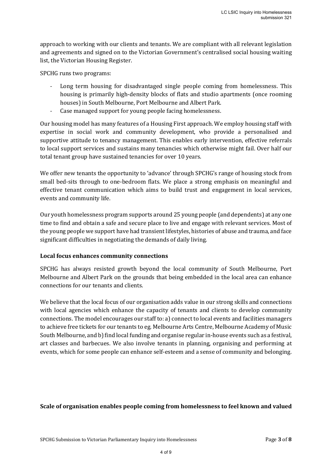approach to working with our clients and tenants. We are compliant with all relevant legislation and agreements and signed on to the Victorian Government's centralised social housing waiting list, the Victorian Housing Register.

SPCHG runs two programs:

- Long term housing for disadvantaged single people coming from homelessness. This housing is primarily high-density blocks of flats and studio apartments (once rooming houses) in South Melbourne, Port Melbourne and Albert Park.
- Case managed support for young people facing homelessness.

Our housing model has many features of a Housing First approach. We employ housing staff with expertise in social work and community development, who provide a personalised and supportive attitude to tenancy management. This enables early intervention, effective referrals to local support services and sustains many tenancies which otherwise might fail. Over half our total tenant group have sustained tenancies for over 10 years.

We offer new tenants the opportunity to 'advance' through SPCHG's range of housing stock from small bed-sits through to one-bedroom flats. We place a strong emphasis on meaningful and effective tenant communication which aims to build trust and engagement in local services, events and community life.

Our youth homelessness program supports around 25 young people (and dependents) at any one time to find and obtain a safe and secure place to live and engage with relevant services. Most of the young people we support have had transient lifestyles, histories of abuse and trauma, and face significant difficulties in negotiating the demands of daily living.

### **Local focus enhances community connections**

SPCHG has always resisted growth beyond the local community of South Melbourne, Port Melbourne and Albert Park on the grounds that being embedded in the local area can enhance connections for our tenants and clients.

We believe that the local focus of our organisation adds value in our strong skills and connections with local agencies which enhance the capacity of tenants and clients to develop community connections. The model encourages our staff to: a) connect to local events and facilities managers to achieve free tickets for our tenants to eg. Melbourne Arts Centre, Melbourne Academy of Music South Melbourne, and b) find local funding and organise regular in-house events such as a festival, art classes and barbecues. We also involve tenants in planning, organising and performing at events, which for some people can enhance self-esteem and a sense of community and belonging.

### **Scale of organisation enables people coming from homelessness to feel known and valued**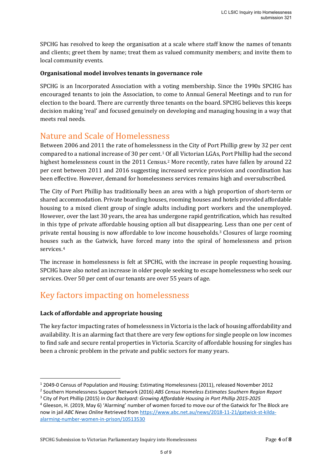SPCHG has resolved to keep the organisation at a scale where staff know the names of tenants and clients; greet them by name; treat them as valued community members; and invite them to local community events.

### **Organisational model involves tenants in governance role**

SPCHG is an Incorporated Association with a voting membership. Since the 1990s SPCHG has encouraged tenants to join the Association, to come to Annual General Meetings and to run for election to the board. There are currently three tenants on the board. SPCHG believes this keeps decision making 'real' and focused genuinely on developing and managing housing in a way that meets real needs.

Nature and Scale of Homelessness<br>Between 2006 and 2011 the rate of homelessness in the City of Port Phillip grew by 32 per cent compared to a national increase of 30 per cent.1 Of all Victorian LGAs, Port Phillip had the second highest homelessness count in the 2011 Census.<sup>2</sup> More recently, rates have fallen by around 22 per cent between 2011 and 2016 suggesting increased service provision and coordination has been effective. However, demand for homelessness services remains high and oversubscribed.

The City of Port Phillip has traditionally been an area with a high proportion of short-term or shared accommodation. Private boarding houses, rooming houses and hotels provided affordable housing to a mixed client group of single adults including port workers and the unemployed. However, over the last 30 years, the area has undergone rapid gentrification, which has resulted in this type of private affordable housing option all but disappearing. Less than one per cent of private rental housing is now affordable to low income households.3 Closures of large rooming houses such as the Gatwick, have forced many into the spiral of homelessness and prison services.4

The increase in homelessness is felt at SPCHG, with the increase in people requesting housing. SPCHG have also noted an increase in older people seeking to escape homelessness who seek our services. Over 50 per cent of our tenants are over 55 years of age.

## Key factors impacting on homelessness

### **Lack of affordable and appropriate housing**

**.** 

The key factor impacting rates of homelessness in Victoria is the lack of housing affordability and availability. It is an alarming fact that there are very few options for single people on low incomes to find safe and secure rental properties in Victoria. Scarcity of affordable housing for singles has been a chronic problem in the private and public sectors for many years.

<sup>1</sup> 2049-0 Census of Population and Housing: Estimating Homelessness (2011), released November 2012

<sup>2</sup> Southern Homelessness Support Network (2016) *ABS Census Homeless Estimates Southern Region Report* 3 City of Port Phillip (2015) *In Our Backyard: Growing Affordable Housing in Port Phillip 2015-2025*

<sup>4</sup> Gleeson, H. (2019, May 6) 'Alarming' number of women forced to move our of the Gatwick for The Block are now in jail *ABC News Online* Retrieved from https://www.abc.net.au/news/2018-11-21/gatwick-st-kildaalarming-number-women-in-prison/10513530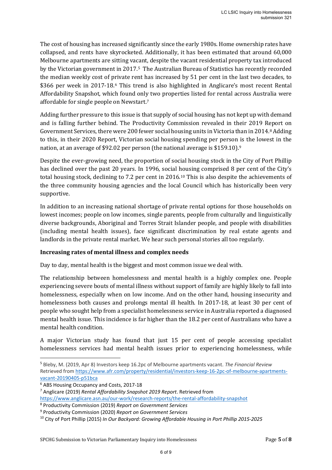The cost of housing has increased significantly since the early 1980s. Home ownership rates have collapsed, and rents have skyrocketed. Additionally, it has been estimated that around 60,000 Melbourne apartments are sitting vacant, despite the vacant residential property tax introduced by the Victorian government in 2017.<sup>5</sup> The Australian Bureau of Statistics has recently recorded the median weekly cost of private rent has increased by 51 per cent in the last two decades, to \$366 per week in 2017-18.6 This trend is also highlighted in Anglicare's most recent Rental Affordability Snapshot, which found only two properties listed for rental across Australia were affordable for single people on Newstart.7

Adding further pressure to this issue is that supply of social housing has not kept up with demand and is falling further behind. The Productivity Commission revealed in their 2019 Report on Government Services, there were 200 fewer social housing units in Victoria than in 2014.8 Adding to this, in their 2020 Report, Victorian social housing spending per person is the lowest in the nation, at an average of \$92.02 per person (the national average is \$159.10).9

Despite the ever-growing need, the proportion of social housing stock in the City of Port Phillip has declined over the past 20 years. In 1996, social housing comprised 8 per cent of the City's total housing stock, declining to 7.2 per cent in 2016.10 This is also despite the achievements of the three community housing agencies and the local Council which has historically been very supportive.

In addition to an increasing national shortage of private rental options for those households on lowest incomes; people on low incomes, single parents, people from culturally and linguistically diverse backgrounds, Aboriginal and Torres Strait Islander people, and people with disabilities (including mental health issues), face significant discrimination by real estate agents and landlords in the private rental market. We hear such personal stories all too regularly.

### **Increasing rates of mental illness and complex needs**

Day to day, mental health is the biggest and most common issue we deal with.

The relationship between homelessness and mental health is a highly complex one. People experiencing severe bouts of mental illness without support of family are highly likely to fall into homelessness, especially when on low income. And on the other hand, housing insecurity and homelessness both causes and prolongs mental ill health. In 2017-18, at least 30 per cent of people who sought help from a specialist homelessness service in Australia reported a diagnosed mental health issue. This incidence is far higher than the 18.2 per cent of Australians who have a mental health condition.

A major Victorian study has found that just 15 per cent of people accessing specialist homelessness services had mental health issues prior to experiencing homelessness, while

<sup>6</sup> ABS Housing Occupancy and Costs, 2017-18

**.** 

<sup>5</sup> Bleby, M. (2019, Apr 8) Investors keep 16.2pc of Melbourne apartments vacant. *The Financial Review* Retrieved from https://www.afr.com/property/residential/investors-keep-16-2pc-of-melbourne-apartmentsvacant-20190405-p51bca

<sup>7</sup> Anglicare (2019) *Rental Affordability Snapshot 2019 Report*. Retrieved from https://www.anglicare.asn.au/our-work/research-reports/the-rental-affordability-snapshot

<sup>8</sup> Productivity Commission (2019) *Report on Government Services*

<sup>9</sup> Productivity Commission (2020) *Report on Government Services*

<sup>10</sup> City of Port Phillip (2015) *In Our Backyard: Growing Affordable Housing in Port Phillip 2015-2025*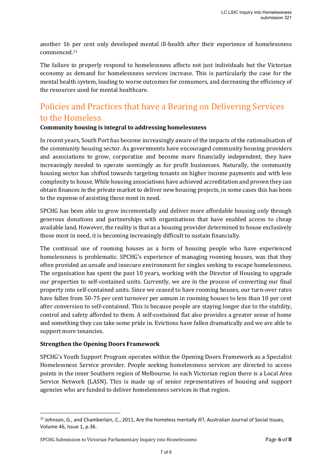another 16 per cent only developed mental ill-health after their experience of homelessness commenced.11

The failure to properly respond to homelessness affects not just individuals but the Victorian economy as demand for homelessness services increase. This is particularly the case for the mental health system, leading to worse outcomes for consumers, and decreasing the efficiency of the resources used for mental healthcare.

# Policies and Practices that have a Bearing on Delivering Services to the Homeless

### **Community housing is integral to addressing homelessness**

In recent years, South Port has become increasingly aware of the impacts of the rationalisation of the community housing sector. As governments have encouraged community housing providers and associations to grow, corporatize and become more financially independent, they have increasingly needed to operate seemingly as for profit businesses. Naturally, the community housing sector has shifted towards targeting tenants on higher income payments and with less complexity to house. While housing associations have achieved accreditation and proven they can obtain finances in the private market to deliver new housing projects, in some cases this has been to the expense of assisting those most in need.

SPCHG has been able to grow incrementally and deliver more affordable housing only through generous donations and partnerships with organisations that have enabled access to cheap available land. However, the reality is that as a housing provider determined to house exclusively those most in need, it is becoming increasingly difficult to sustain financially.

The continual use of rooming houses as a form of housing people who have experienced homelessness is problematic. SPCHG's experience of managing rooming houses, was that they often provided an unsafe and insecure environment for singles seeking to escape homelessness. The organisation has spent the past 10 years, working with the Director of Housing to upgrade our properties to self-contained units. Currently, we are in the process of converting our final property into self-contained units. Since we ceased to have rooming houses, our turn-over rates have fallen from 50-75 per cent turnover per annum in rooming houses to less than 10 per cent after conversion to self-contained. This is because people are staying longer due to the stability, control and safety afforded to them. A self-contained flat also provides a greater sense of home and something they can take some pride in. Evictions have fallen dramatically and we are able to support more tenancies.

### **Strengthen the Opening Doors Framework**

**.** 

SPCHG's Youth Support Program operates within the Opening Doors Framework as a Specialist Homelessness Service provider. People seeking homelessness services are directed to access points in the inner Southern region of Melbourne. In each Victorian region there is a Local Area Service Network (LASN). This is made up of senior representatives of housing and support agencies who are funded to deliver homelessness services in that region.

<sup>&</sup>lt;sup>11</sup> Johnson, G., and Chamberlain, C., 2011, Are the homeless mentally ill?, Australian Journal of Social Issues, Volume 46, Issue 1, p.36.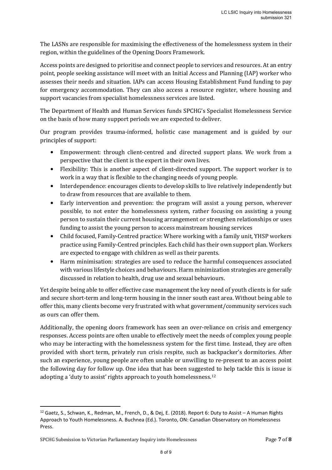The LASNs are responsible for maximising the effectiveness of the homelessness system in their region, within the guidelines of the Opening Doors Framework.

Access points are designed to prioritise and connect people to services and resources. At an entry point, people seeking assistance will meet with an Initial Access and Planning (IAP) worker who assesses their needs and situation. IAPs can access Housing Establishment Fund funding to pay for emergency accommodation. They can also access a resource register, where housing and support vacancies from specialist homelessness services are listed.

The Department of Health and Human Services funds SPCHG's Specialist Homelessness Service on the basis of how many support periods we are expected to deliver.

Our program provides trauma-informed, holistic case management and is guided by our principles of support:

- Empowerment: through client-centred and directed support plans. We work from a perspective that the client is the expert in their own lives.
- Flexibility: This is another aspect of client-directed support. The support worker is to work in a way that is flexible to the changing needs of young people.
- Interdependence: encourages clients to develop skills to live relatively independently but to draw from resources that are available to them.
- Early intervention and prevention: the program will assist a young person, wherever possible, to not enter the homelessness system, rather focusing on assisting a young person to sustain their current housing arrangement or strengthen relationships or uses funding to assist the young person to access mainstream housing services
- Child focused, Family-Centred practice: Where working with a family unit, YHSP workers practice using Family-Centred principles. Each child has their own support plan. Workers are expected to engage with children as well as their parents.
- Harm minimisation: strategies are used to reduce the harmful consequences associated with various lifestyle choices and behaviours. Harm minimization strategies are generally discussed in relation to health, drug use and sexual behaviours.

Yet despite being able to offer effective case management the key need of youth clients is for safe and secure short-term and long-term housing in the inner south east area. Without being able to offer this, many clients become very frustrated with what government/community services such as ours can offer them.

Additionally, the opening doors framework has seen an over-reliance on crisis and emergency responses. Access points are often unable to effectively meet the needs of complex young people who may be interacting with the homelessness system for the first time. Instead, they are often provided with short term, privately run crisis respite, such as backpacker's dormitories. After such an experience, young people are often unable or unwilling to re-present to an access point the following day for follow up. One idea that has been suggested to help tackle this is issue is adopting a 'duty to assist' rights approach to youth homelessness.12

 $\overline{a}$ 

 $12$  Gaetz, S., Schwan, K., Redman, M., French, D., & Dej, E. (2018). Report 6: Duty to Assist – A Human Rights Approach to Youth Homelessness. A. Buchnea (Ed.). Toronto, ON: Canadian Observatory on Homelessness Press.